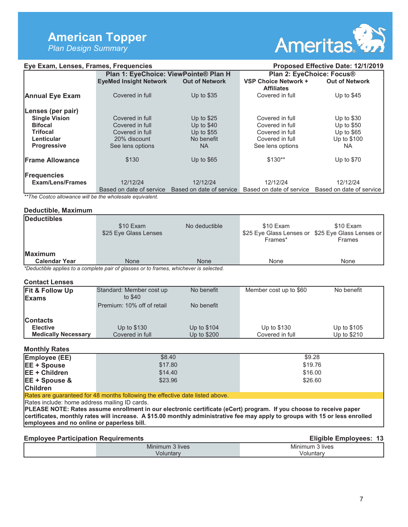# **American Topper**

*Plan Design Summary* 



| Eye Exam, Lenses, Frames, Frequencies |                                       |                                                   | Proposed Effective Date: 12/1/2019        |                          |
|---------------------------------------|---------------------------------------|---------------------------------------------------|-------------------------------------------|--------------------------|
|                                       | Plan 1: EyeChoice: ViewPointe® Plan H |                                                   | Plan 2: EyeChoice: Focus®                 |                          |
|                                       | <b>EyeMed Insight Network</b>         | <b>Out of Network</b>                             | VSP Choice Network +<br><b>Affiliates</b> | <b>Out of Network</b>    |
| <b>Annual Eye Exam</b>                | Covered in full                       | Up to $$35$                                       | Covered in full                           | Up to $$45$              |
| Lenses (per pair)                     |                                       |                                                   |                                           |                          |
| <b>Single Vision</b>                  | Covered in full                       | Up to $$25$                                       | Covered in full                           | Up to $$30$              |
| <b>Bifocal</b>                        | Covered in full                       | Up to $$40$                                       | Covered in full                           | Up to $$50$              |
| <b>Trifocal</b>                       | Covered in full                       | Up to $$55$                                       | Covered in full                           | Up to $$65$              |
| Lenticular                            | 20% discount                          | No benefit                                        | Covered in full                           | Up to \$100              |
| <b>Progressive</b>                    | See lens options                      | NA.                                               | See lens options                          | NA.                      |
| <b>Frame Allowance</b>                | \$130                                 | Up to $$65$                                       | $$130**$                                  | Up to $$70$              |
| <b>Frequencies</b>                    |                                       |                                                   |                                           |                          |
| <b>Exam/Lens/Frames</b>               | 12/12/24                              | 12/12/24                                          | 12/12/24                                  | 12/12/24                 |
|                                       |                                       | Based on date of service Based on date of service | Based on date of service                  | Based on date of service |

*\*\*The Costco allowance will be the wholesale equivalent.* 

#### **Deductible, Maximum**

| Deductibles                                                                            | \$10 Exam<br>\$25 Eye Glass Lenses | No deductible | \$10 Exam | \$10 Exam<br>\$25 Eye Glass Lenses or \$25 Eye Glass Lenses or |
|----------------------------------------------------------------------------------------|------------------------------------|---------------|-----------|----------------------------------------------------------------|
|                                                                                        |                                    |               | Frames*   | Frames                                                         |
| <b>Maximum</b>                                                                         |                                    |               |           |                                                                |
| <b>Calendar Year</b>                                                                   | <b>None</b>                        | None          | None      | None                                                           |
| *Deductible applies to a complete pair of glasses or to frames, whichever is selected. |                                    |               |           |                                                                |

**Contact Lenses** 

| Fit & Follow Up<br>Exams   | Standard: Member cost up<br>to \$40 | No benefit  | Member cost up to \$60 | No benefit  |
|----------------------------|-------------------------------------|-------------|------------------------|-------------|
|                            | Premium: 10% off of retail          | No benefit  |                        |             |
| <b>Contacts</b>            |                                     |             |                        |             |
| <b>Elective</b>            | Up to \$130                         | Up to \$104 | Up to \$130            | Up to \$105 |
| <b>Medically Necessary</b> | Covered in full                     | Up to \$200 | Covered in full        | Up to \$210 |

## **Monthly Rates**

| Employee (EE)        | \$8.40  | \$9.28  |
|----------------------|---------|---------|
| <b>EE + Spouse</b>   | \$17.80 | \$19.76 |
| <b>EE + Children</b> | \$14.40 | \$16.00 |
| $EE + Spouse &$      | \$23.96 | \$26.60 |
| <b>Children</b>      |         |         |

Rates are guaranteed for 48 months following the effective date listed above.

Rates include: home address mailing ID cards.

**PLEASE NOTE: Rates assume enrollment in our electronic certificate (eCert) program. If you choose to receive paper certificates, monthly rates will increase. A \$15.00 monthly administrative fee may apply to groups with 15 or less enrolled employees and no online or paperless bill.**

| <b>Employee Participation Requirements</b> |                 | Eligible Employees: 13 |
|--------------------------------------------|-----------------|------------------------|
|                                            | Minimum 3 lives | Minimum 3 lives        |
|                                            | √oluntary       | Voluntary              |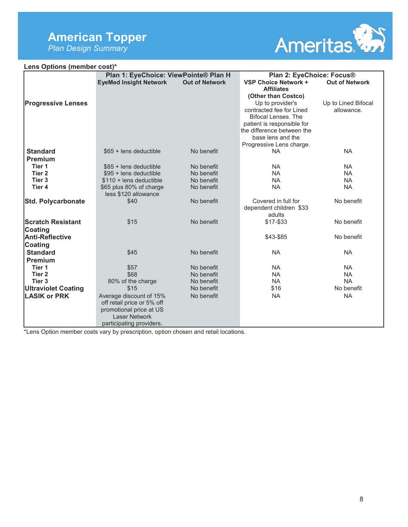## **American Topper**

*Plan Design Summary* 



| Lens Options (member cost)* |                                                                                                                                      |                          |                                                                                                                                                                                  |                                   |
|-----------------------------|--------------------------------------------------------------------------------------------------------------------------------------|--------------------------|----------------------------------------------------------------------------------------------------------------------------------------------------------------------------------|-----------------------------------|
|                             | Plan 1: EyeChoice: ViewPointe® Plan H                                                                                                |                          | Plan 2: EyeChoice: Focus®                                                                                                                                                        |                                   |
|                             | <b>EyeMed Insight Network</b>                                                                                                        | <b>Out of Network</b>    | VSP Choice Network +<br><b>Affiliates</b><br>(Other than Costco)                                                                                                                 | <b>Out of Network</b>             |
| <b>Progressive Lenses</b>   |                                                                                                                                      |                          | Up to provider's<br>contracted fee for Lined<br>Bifocal Lenses. The<br>patient is responsible for<br>the difference between the<br>base lens and the<br>Progressive Lens charge. | Up to Lined Bifocal<br>allowance. |
| <b>Standard</b>             | \$65 + lens deductible                                                                                                               | No benefit               | <b>NA</b>                                                                                                                                                                        | <b>NA</b>                         |
| Premium                     |                                                                                                                                      |                          |                                                                                                                                                                                  |                                   |
| Tier 1                      | $$85 + lens$ deductible                                                                                                              | No benefit               | <b>NA</b>                                                                                                                                                                        | <b>NA</b>                         |
| Tier 2                      | \$95 + lens deductible                                                                                                               | No benefit               | <b>NA</b>                                                                                                                                                                        | <b>NA</b>                         |
| Tier <sub>3</sub>           | $$110 + lens$ deductible                                                                                                             | No benefit               | <b>NA</b>                                                                                                                                                                        | <b>NA</b>                         |
| Tier 4                      | \$65 plus 80% of charge<br>less \$120 allowance                                                                                      | No benefit               | <b>NA</b>                                                                                                                                                                        | <b>NA</b>                         |
| <b>Std. Polycarbonate</b>   | \$40                                                                                                                                 | No benefit               | Covered in full for<br>dependent children \$33<br>adults                                                                                                                         | No benefit                        |
| <b>Scratch Resistant</b>    | \$15                                                                                                                                 | No benefit               | \$17-\$33                                                                                                                                                                        | No benefit                        |
| <b>Coating</b>              |                                                                                                                                      |                          |                                                                                                                                                                                  |                                   |
| <b>Anti-Reflective</b>      |                                                                                                                                      |                          | \$43-\$85                                                                                                                                                                        | No benefit                        |
| Coating                     |                                                                                                                                      |                          |                                                                                                                                                                                  |                                   |
| <b>Standard</b>             | \$45                                                                                                                                 | No benefit               | <b>NA</b>                                                                                                                                                                        | <b>NA</b>                         |
| Premium                     |                                                                                                                                      |                          |                                                                                                                                                                                  |                                   |
| Tier 1<br>Tier <sub>2</sub> | \$57<br>\$68                                                                                                                         | No benefit<br>No benefit | <b>NA</b><br><b>NA</b>                                                                                                                                                           | <b>NA</b><br><b>NA</b>            |
| Tier <sub>3</sub>           |                                                                                                                                      |                          |                                                                                                                                                                                  | <b>NA</b>                         |
|                             | 80% of the charge<br>\$15                                                                                                            | No benefit<br>No benefit | <b>NA</b><br>\$16                                                                                                                                                                | No benefit                        |
| <b>Ultraviolet Coating</b>  |                                                                                                                                      |                          |                                                                                                                                                                                  |                                   |
| <b>LASIK or PRK</b>         | Average discount of 15%<br>off retail price or 5% off<br>promotional price at US<br><b>Laser Network</b><br>participating providers. | No benefit               | <b>NA</b>                                                                                                                                                                        | <b>NA</b>                         |

\*Lens Option member costs vary by prescription, option chosen and retail locations.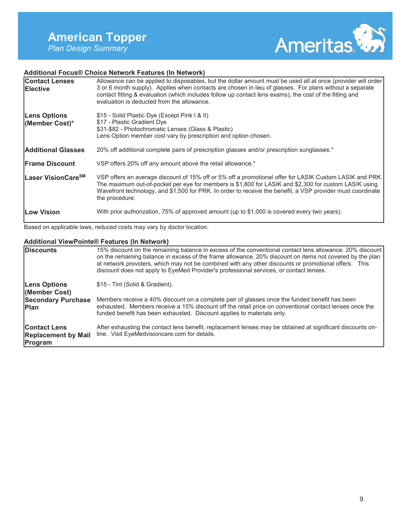

## **Additional Focus® Choice Network Features (In Network)**

| <b>Contact Lenses</b><br><b>IElective</b> | Allowance can be applied to disposables, but the dollar amount must be used all at once (provider will order)<br>3 or 6 month supply). Applies when contacts are chosen in lieu of glasses. For plans without a separate<br>contact fitting & evaluation (which includes follow up contact lens exams), the cost of the fitting and<br>evaluation is deducted from the allowance. |
|-------------------------------------------|-----------------------------------------------------------------------------------------------------------------------------------------------------------------------------------------------------------------------------------------------------------------------------------------------------------------------------------------------------------------------------------|
| <b>Lens Options</b><br>(Member Cost)*     | \$15 - Solid Plastic Dye (Except Pink I & II)<br>\$17 - Plastic Gradient Dye<br>\$31-\$82 - Photochromatic Lenses (Glass & Plastic)<br>Lens Option member cost vary by prescription and option chosen.                                                                                                                                                                            |
| <b>Additional Glasses</b>                 | 20% off additional complete pairs of prescription glasses and/or prescription sunglasses.*                                                                                                                                                                                                                                                                                        |
| <b>Frame Discount</b>                     | VSP offers 20% off any amount above the retail allowance.*                                                                                                                                                                                                                                                                                                                        |
| lLaser VisionCare <sup>sм</sup>           | VSP offers an average discount of 15% off or 5% off a promotional offer for LASIK Custom LASIK and PRK.<br>The maximum out-of-pocket per eye for members is \$1,800 for LASIK and \$2,300 for custom LASIK using<br>Wavefront technology, and \$1,500 for PRK. In order to receive the benefit, a VSP provider must coordinate<br>the procedure.                                  |
| <b>Low Vision</b>                         | With prior authorization, 75% of approved amount (up to \$1,000 is covered every two years).                                                                                                                                                                                                                                                                                      |

Based on applicable laws, reduced costs may vary by doctor location.

## **Additional ViewPointe® Features (In Network)**

| <b>IDiscounts</b>                                            | 15% discount on the remaining balance in excess of the conventional contact lens allowance. 20% discount<br>on the remaining balance in excess of the frame allowance. 20% discount on items not covered by the plan<br>at network providers, which may not be combined with any other discounts or promotional offers. This<br>discount does not apply to EyeMed Provider's professional services, or contact lenses. |
|--------------------------------------------------------------|------------------------------------------------------------------------------------------------------------------------------------------------------------------------------------------------------------------------------------------------------------------------------------------------------------------------------------------------------------------------------------------------------------------------|
| <b>Lens Options</b><br>(Member Cost)                         | \$15 - Tint (Solid & Gradient).                                                                                                                                                                                                                                                                                                                                                                                        |
| <b>Secondary Purchase</b><br><b>IPlan</b>                    | Members receive a 40% discount on a complete pair of glasses once the funded benefit has been<br>exhausted. Members receive a 15% discount off the retail price on conventional contact lenses once the<br>funded benefit has been exhausted. Discount applies to materials only.                                                                                                                                      |
| <b>Contact Lens</b><br><b>Replacement by Mail</b><br>Program | After exhausting the contact lens benefit, replacement lenses may be obtained at significant discounts on-<br>line. Visit EyeMedvisioncare.com for details.                                                                                                                                                                                                                                                            |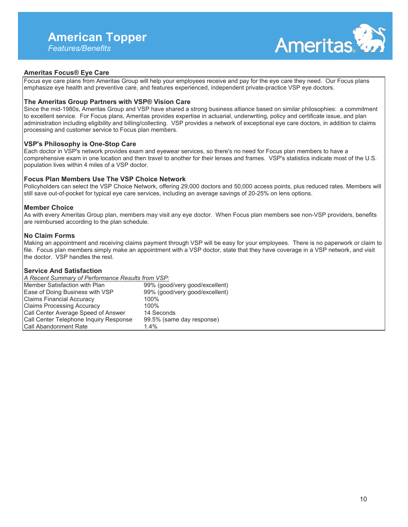

## **Ameritas Focus® Eye Care**

Focus eye care plans from Ameritas Group will help your employees receive and pay for the eye care they need. Our Focus plans emphasize eye health and preventive care, and features experienced, independent private-practice VSP eye doctors.

#### **The Ameritas Group Partners with VSP® Vision Care**

Since the mid-1980s, Ameritas Group and VSP have shared a strong business alliance based on similar philosophies: a commitment to excellent service. For Focus plans, Ameritas provides expertise in actuarial, underwriting, policy and certificate issue, and plan administration including eligibility and billing/collecting. VSP provides a network of exceptional eye care doctors, in addition to claims processing and customer service to Focus plan members.

#### **VSP's Philosophy is One-Stop Care**

Each doctor in VSP's network provides exam and eyewear services, so there's no need for Focus plan members to have a comprehensive exam in one location and then travel to another for their lenses and frames. VSP's statistics indicate most of the U.S. population lives within 4 miles of a VSP doctor.

#### **Focus Plan Members Use The VSP Choice Network**

Policyholders can select the VSP Choice Network, offering 29,000 doctors and 50,000 access points, plus reduced rates. Members will still save out-of-pocket for typical eye care services, including an average savings of 20-25% on lens options.

#### **Member Choice**

As with every Ameritas Group plan, members may visit any eye doctor. When Focus plan members see non-VSP providers, benefits are reimbursed according to the plan schedule.

#### **No Claim Forms**

Making an appointment and receiving claims payment through VSP will be easy for your employees. There is no paperwork or claim to file. Focus plan members simply make an appointment with a VSP doctor, state that they have coverage in a VSP network, and visit the doctor. VSP handles the rest.

## **Service And Satisfaction**

| A Recent Summary of Performance Results from VSP: |                                |
|---------------------------------------------------|--------------------------------|
| Member Satisfaction with Plan                     | 99% (good/very good/excellent) |
| Ease of Doing Business with VSP                   | 99% (good/very good/excellent) |
| <b>Claims Financial Accuracy</b>                  | 100%                           |
| <b>Claims Processing Accuracy</b>                 | 100%                           |
| Call Center Average Speed of Answer               | 14 Seconds                     |
| Call Center Telephone Inquiry Response            | 99.5% (same day response)      |
| <b>Call Abandonment Rate</b>                      | 14%                            |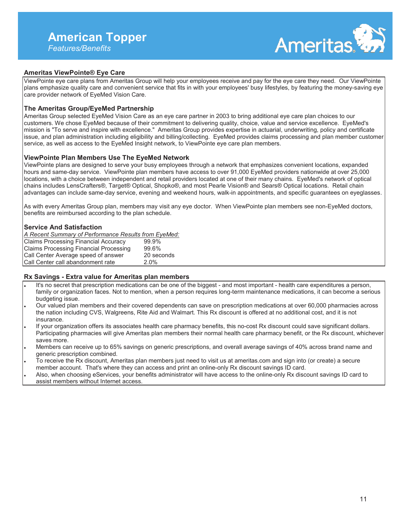

## **Ameritas ViewPointe® Eye Care**

ViewPointe eye care plans from Ameritas Group will help your employees receive and pay for the eye care they need. Our ViewPointe plans emphasize quality care and convenient service that fits in with your employees' busy lifestyles, by featuring the money-saving eye care provider network of EyeMed Vision Care.

## **The Ameritas Group/EyeMed Partnership**

Ameritas Group selected EyeMed Vision Care as an eye care partner in 2003 to bring additional eye care plan choices to our customers. We chose EyeMed because of their commitment to delivering quality, choice, value and service excellence. EyeMed's mission is "To serve and inspire with excellence." Ameritas Group provides expertise in actuarial, underwriting, policy and certificate issue, and plan administration including eligibility and billing/collecting. EyeMed provides claims processing and plan member customer service, as well as access to the EyeMed Insight network, to ViewPointe eye care plan members.

#### **ViewPointe Plan Members Use The EyeMed Network**

ViewPointe plans are designed to serve your busy employees through a network that emphasizes convenient locations, expanded hours and same-day service. ViewPointe plan members have access to over 91,000 EyeMed providers nationwide at over 25,000 locations, with a choice between independent and retail providers located at one of their many chains. EyeMed's network of optical chains includes LensCrafters®, Target® Optical, Shopko®, and most Pearle Vision® and Sears® Optical locations. Retail chain advantages can include same-day service, evening and weekend hours, walk-in appointments, and specific guarantees on eyeglasses.

As with every Ameritas Group plan, members may visit any eye doctor. When ViewPointe plan members see non-EyeMed doctors, benefits are reimbursed according to the plan schedule.

#### **Service And Satisfaction**

*A Recent Summary of Performance Results from EyeMed:* 

| <b>Claims Processing Financial Accuracy</b>   | 99.9%      |
|-----------------------------------------------|------------|
| <b>Claims Processing Financial Processing</b> | 99.6%      |
| Call Center Average speed of answer           | 20 seconds |
| l Call Center call abandonment rate           | $2.0\%$    |

#### **Rx Savings - Extra value for Ameritas plan members**

- It's no secret that prescription medications can be one of the biggest and most important health care expenditures a person, family or organization faces. Not to mention, when a person requires long-term maintenance medications, it can become a serious budgeting issue.
- Our valued plan members and their covered dependents can save on prescription medications at over 60,000 pharmacies across the nation including CVS, Walgreens, Rite Aid and Walmart. This Rx discount is offered at no additional cost, and it is not insurance.
- If your organization offers its associates health care pharmacy benefits, this no-cost Rx discount could save significant dollars. Participating pharmacies will give Ameritas plan members their normal health care pharmacy benefit, or the Rx discount, whichever saves more.
- Members can receive up to 65% savings on generic prescriptions, and overall average savings of 40% across brand name and generic prescription combined.
- To receive the Rx discount, Ameritas plan members just need to visit us at ameritas.com and sign into (or create) a secure member account. That's where they can access and print an online-only Rx discount savings ID card.
- Also, when choosing eServices, your benefits administrator will have access to the online-only Rx discount savings ID card to assist members without Internet access.